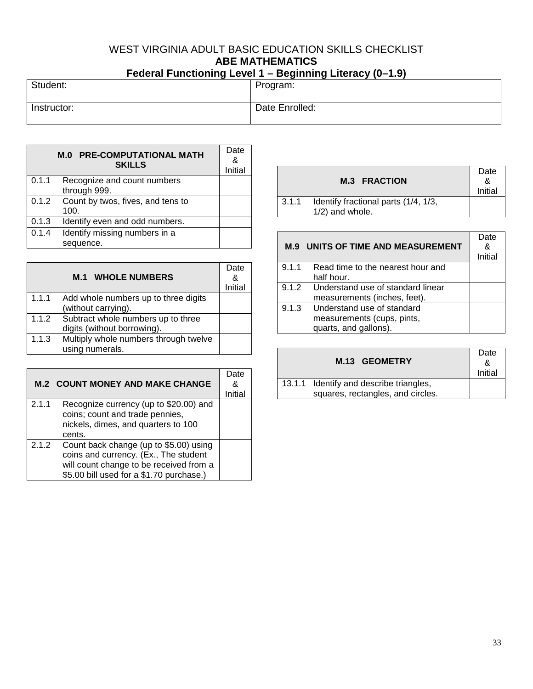# WEST VIRGINIA ADULT BASIC EDUCATION SKILLS CHECKLIST **ABE MATHEMATICS Federal Functioning Level 1 – Beginning Literacy (0–1.9)**

| $1$ cacial i anouoning Ector i | PQQHHHHQHQHQQHQQ<br>. |
|--------------------------------|-----------------------|
| Student:                       | Program:              |
| Instructor:                    | Date Enrolled:        |

|       | <b>M.0 PRE-COMPUTATIONAL MATH</b><br><b>SKILLS</b> | Date<br>&<br>Initial |
|-------|----------------------------------------------------|----------------------|
| 0.1.1 | Recognize and count numbers<br>through 999.        |                      |
| 0.1.2 | Count by twos, fives, and tens to<br>100.          |                      |
| 0.1.3 | Identify even and odd numbers.                     |                      |
| 0.1.4 | Identify missing numbers in a                      |                      |
|       | sequence.                                          |                      |

|       | <b>M.1 WHOLE NUMBERS</b>                 | Date<br>&<br>Initial |
|-------|------------------------------------------|----------------------|
| 1.1.1 | Add whole numbers up to three digits     |                      |
|       | (without carrying).                      |                      |
|       | 1.1.2 Subtract whole numbers up to three |                      |
|       | digits (without borrowing).              |                      |
| 1.1.3 | Multiply whole numbers through twelve    |                      |
|       | using numerals.                          |                      |

|       | <b>M.2 COUNT MONEY AND MAKE CHANGE</b>                                                                                                                                 | Date<br>&<br>Initial |
|-------|------------------------------------------------------------------------------------------------------------------------------------------------------------------------|----------------------|
| 2.1.1 | Recognize currency (up to \$20.00) and<br>coins; count and trade pennies,<br>nickels, dimes, and quarters to 100<br>cents.                                             |                      |
| 2.1.2 | Count back change (up to \$5.00) using<br>coins and currency. (Ex., The student<br>will count change to be received from a<br>\$5.00 bill used for a \$1.70 purchase.) |                      |

|       | <b>M.3 FRACTION</b>                                        | Date<br>&<br>Initial |
|-------|------------------------------------------------------------|----------------------|
| 3.1.1 | Identify fractional parts (1/4, 1/3,<br>$1/2$ ) and whole. |                      |

|       | <b>M.9 UNITS OF TIME AND MEASUREMENT</b> | Date<br>&<br>Initial |
|-------|------------------------------------------|----------------------|
| 9.1.1 | Read time to the nearest hour and        |                      |
|       | half hour.                               |                      |
|       | 9.1.2 Understand use of standard linear  |                      |
|       | measurements (inches, feet).             |                      |
| 9.1.3 | Understand use of standard               |                      |
|       | measurements (cups, pints,               |                      |
|       | quarts, and gallons).                    |                      |

| M.13 GEOMETRY                                                                | Date<br>&<br>Initial |
|------------------------------------------------------------------------------|----------------------|
| 13.1.1 Identify and describe triangles,<br>squares, rectangles, and circles. |                      |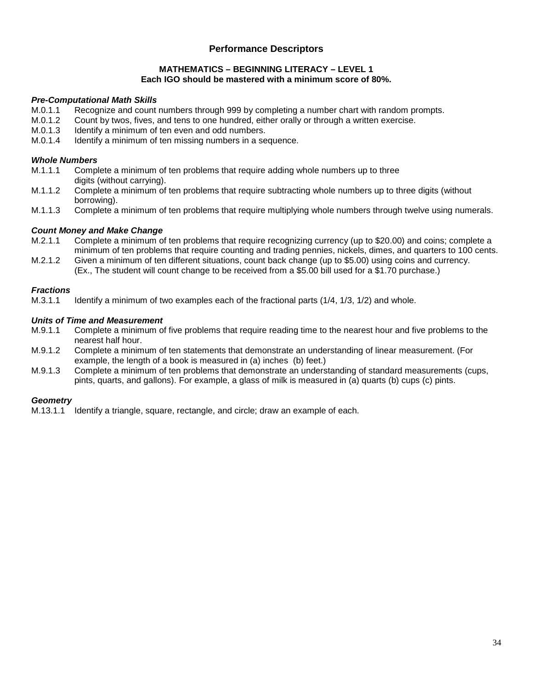#### **MATHEMATICS – BEGINNING LITERACY – LEVEL 1 Each IGO should be mastered with a minimum score of 80%.**

# *Pre-Computational Math Skills*

- M.0.1.1 Recognize and count numbers through 999 by completing a number chart with random prompts.<br>M.0.1.2 Count by twos, fives, and tens to one hundred, either orally or through a written exercise.
- M.0.1.2 Count by twos, fives, and tens to one hundred, either orally or through a written exercise.<br>M.0.1.3 Identify a minimum of ten even and odd numbers.
- Identify a minimum of ten even and odd numbers.
- M.0.1.4 Identify a minimum of ten missing numbers in a sequence.

# *Whole Numbers*

- M.1.1.1 Complete a minimum of ten problems that require adding whole numbers up to three digits (without carrying).
- M.1.1.2 Complete a minimum of ten problems that require subtracting whole numbers up to three digits (without borrowing).
- M.1.1.3 Complete a minimum of ten problems that require multiplying whole numbers through twelve using numerals.

#### *Count Money and Make Change*

- M.2.1.1 Complete a minimum of ten problems that require recognizing currency (up to \$20.00) and coins; complete a minimum of ten problems that require counting and trading pennies, nickels, dimes, and quarters to 100 cents.
- M.2.1.2 Given a minimum of ten different situations, count back change (up to \$5.00) using coins and currency. (Ex., The student will count change to be received from a \$5.00 bill used for a \$1.70 purchase.)

#### *Fractions*

M.3.1.1 Identify a minimum of two examples each of the fractional parts (1/4, 1/3, 1/2) and whole.

# *Units of Time and Measurement*

- M.9.1.1 Complete a minimum of five problems that require reading time to the nearest hour and five problems to the nearest half hour.
- M.9.1.2 Complete a minimum of ten statements that demonstrate an understanding of linear measurement. (For example, the length of a book is measured in (a) inches (b) feet.)
- M.9.1.3 Complete a minimum of ten problems that demonstrate an understanding of standard measurements (cups, pints, quarts, and gallons). For example, a glass of milk is measured in (a) quarts (b) cups (c) pints.

#### *Geometry*

M.13.1.1 Identify a triangle, square, rectangle, and circle; draw an example of each.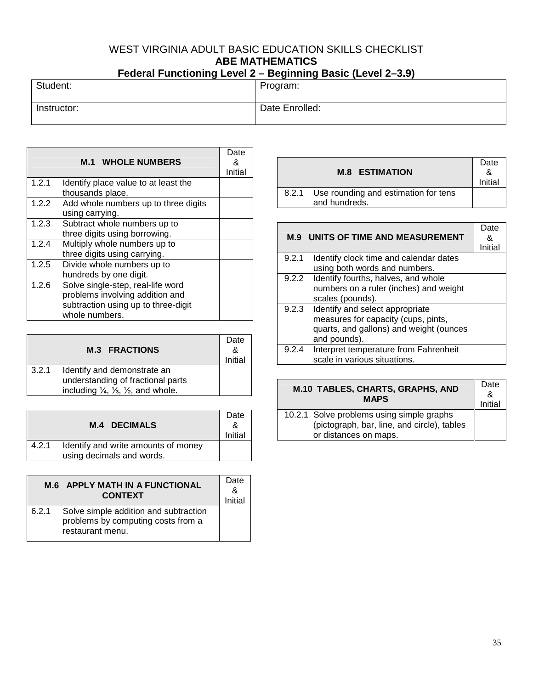# WEST VIRGINIA ADULT BASIC EDUCATION SKILLS CHECKLIST **ABE MATHEMATICS Federal Functioning Level 2 – Beginning Basic (Level 2–3.9)**

| $\Gamma$ cucial Functioning Level 2 – Deginining Dasic (Level 2–3.9) |                |  |
|----------------------------------------------------------------------|----------------|--|
| Student:                                                             | Program:       |  |
| Instructor:                                                          | Date Enrolled: |  |

|       | <b>M.1 WHOLE NUMBERS</b>                                                                                                      | Date<br>&<br>Initial |
|-------|-------------------------------------------------------------------------------------------------------------------------------|----------------------|
| 1.2.1 | Identify place value to at least the<br>thousands place.                                                                      |                      |
| 1.2.2 | Add whole numbers up to three digits<br>using carrying.                                                                       |                      |
| 1.2.3 | Subtract whole numbers up to<br>three digits using borrowing.                                                                 |                      |
| 1.2.4 | Multiply whole numbers up to<br>three digits using carrying.                                                                  |                      |
| 1.2.5 | Divide whole numbers up to<br>hundreds by one digit.                                                                          |                      |
| 1.2.6 | Solve single-step, real-life word<br>problems involving addition and<br>subtraction using up to three-digit<br>whole numbers. |                      |

|       | <b>M.3 FRACTIONS</b>                                                                                                                     | Date<br>&<br>Initial |
|-------|------------------------------------------------------------------------------------------------------------------------------------------|----------------------|
| 3.2.1 | Identify and demonstrate an<br>understanding of fractional parts<br>including $\frac{1}{4}$ , $\frac{1}{3}$ , $\frac{1}{2}$ , and whole. |                      |

|       | <b>M.4 DECIMALS</b>                                              | Date<br>Initial |
|-------|------------------------------------------------------------------|-----------------|
| 4.2.1 | Identify and write amounts of money<br>using decimals and words. |                 |

|       | <b>M.6 APPLY MATH IN A FUNCTIONAL</b><br><b>CONTEXT</b>                                         | Date<br>Initial |
|-------|-------------------------------------------------------------------------------------------------|-----------------|
| 6.2.1 | Solve simple addition and subtraction<br>problems by computing costs from a<br>restaurant menu. |                 |

| <b>M.8 ESTIMATION</b>                                       | Date<br>Initial |
|-------------------------------------------------------------|-----------------|
| 8.2.1 Use rounding and estimation for tens<br>and hundreds. |                 |

| <b>M.9 UNITS OF TIME AND MEASUREMENT</b> |                                           | Date<br>&<br>Initial |
|------------------------------------------|-------------------------------------------|----------------------|
| 9.2.1                                    | Identify clock time and calendar dates    |                      |
|                                          | using both words and numbers.             |                      |
|                                          | 9.2.2 Identify fourths, halves, and whole |                      |
|                                          | numbers on a ruler (inches) and weight    |                      |
|                                          | scales (pounds).                          |                      |
|                                          | 9.2.3 Identify and select appropriate     |                      |
|                                          | measures for capacity (cups, pints,       |                      |
|                                          | quarts, and gallons) and weight (ounces   |                      |
|                                          | and pounds).                              |                      |
| 9.2.4                                    | Interpret temperature from Fahrenheit     |                      |
|                                          | scale in various situations.              |                      |

| M.10 TABLES, CHARTS, GRAPHS, AND<br><b>MAPS</b>                                                                   |  |
|-------------------------------------------------------------------------------------------------------------------|--|
| 10.2.1 Solve problems using simple graphs<br>(pictograph, bar, line, and circle), tables<br>or distances on maps. |  |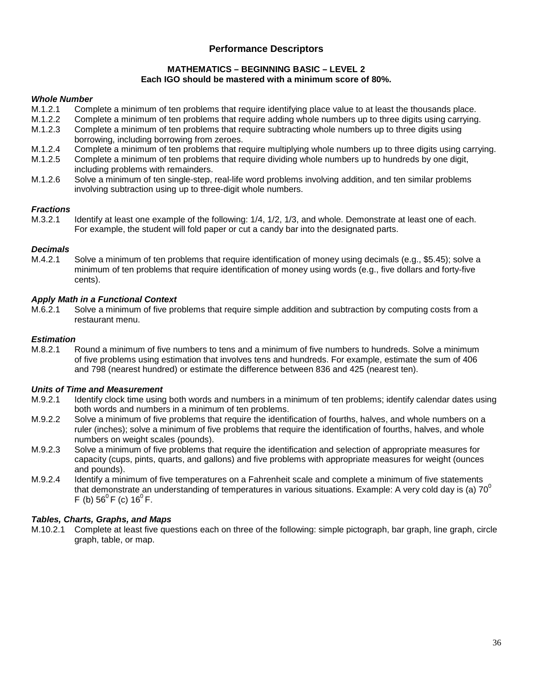#### **MATHEMATICS – BEGINNING BASIC – LEVEL 2 Each IGO should be mastered with a minimum score of 80%.**

#### *Whole Number*

- M.1.2.1 Complete a minimum of ten problems that require identifying place value to at least the thousands place.
- M.1.2.2 Complete a minimum of ten problems that require adding whole numbers up to three digits using carrying.
- M.1.2.3 Complete a minimum of ten problems that require subtracting whole numbers up to three digits using borrowing, including borrowing from zeroes.
- M.1.2.4 Complete a minimum of ten problems that require multiplying whole numbers up to three digits using carrying.
- M.1.2.5 Complete a minimum of ten problems that require dividing whole numbers up to hundreds by one digit, including problems with remainders.
- M.1.2.6 Solve a minimum of ten single-step, real-life word problems involving addition, and ten similar problems involving subtraction using up to three-digit whole numbers.

#### *Fractions*

M.3.2.1 Identify at least one example of the following: 1/4, 1/2, 1/3, and whole. Demonstrate at least one of each. For example, the student will fold paper or cut a candy bar into the designated parts.

# *Decimals*

M.4.2.1 Solve a minimum of ten problems that require identification of money using decimals (e.g., \$5.45); solve a minimum of ten problems that require identification of money using words (e.g., five dollars and forty-five cents).

# *Apply Math in a Functional Context*

M.6.2.1 Solve a minimum of five problems that require simple addition and subtraction by computing costs from a restaurant menu.

# *Estimation*

M.8.2.1 Round a minimum of five numbers to tens and a minimum of five numbers to hundreds. Solve a minimum of five problems using estimation that involves tens and hundreds. For example, estimate the sum of 406 and 798 (nearest hundred) or estimate the difference between 836 and 425 (nearest ten).

#### *Units of Time and Measurement*

- M.9.2.1 Identify clock time using both words and numbers in a minimum of ten problems; identify calendar dates using both words and numbers in a minimum of ten problems.
- M.9.2.2 Solve a minimum of five problems that require the identification of fourths, halves, and whole numbers on a ruler (inches); solve a minimum of five problems that require the identification of fourths, halves, and whole numbers on weight scales (pounds).
- M.9.2.3 Solve a minimum of five problems that require the identification and selection of appropriate measures for capacity (cups, pints, quarts, and gallons) and five problems with appropriate measures for weight (ounces and pounds).
- M.9.2.4 Identify a minimum of five temperatures on a Fahrenheit scale and complete a minimum of five statements that demonstrate an understanding of temperatures in various situations. Example: A very cold day is (a) 70<sup>0</sup> F (b)  $56^{\circ}$  F (c)  $16^{\circ}$  F.

#### *Tables, Charts, Graphs, and Maps*

M.10.2.1 Complete at least five questions each on three of the following: simple pictograph, bar graph, line graph, circle graph, table, or map.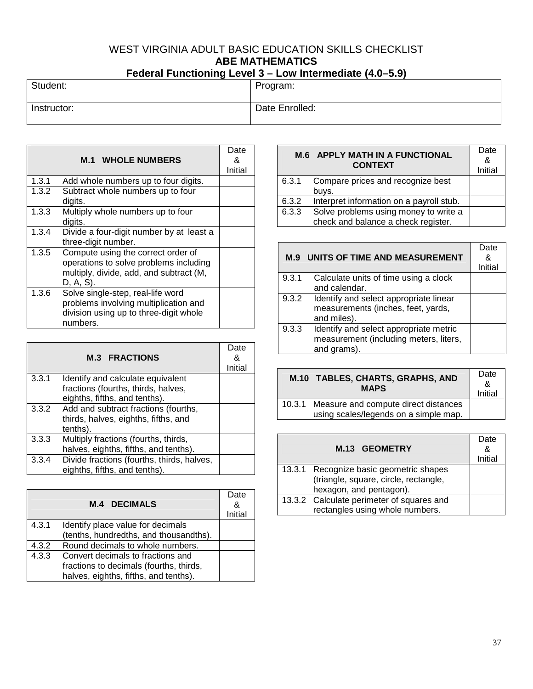# WEST VIRGINIA ADULT BASIC EDUCATION SKILLS CHECKLIST **ABE MATHEMATICS**

# **Federal Functioning Level 3 – Low Intermediate (4.0–5.9)**

| Student:    | Program:       |
|-------------|----------------|
| Instructor: | Date Enrolled: |

|       | <b>M.1 WHOLE NUMBERS</b>                                                                                                             | Date<br>&<br>Initial |
|-------|--------------------------------------------------------------------------------------------------------------------------------------|----------------------|
| 1.3.1 | Add whole numbers up to four digits.                                                                                                 |                      |
| 1.3.2 | Subtract whole numbers up to four<br>digits.                                                                                         |                      |
| 1.3.3 | Multiply whole numbers up to four<br>digits.                                                                                         |                      |
| 1.3.4 | Divide a four-digit number by at least a<br>three-digit number.                                                                      |                      |
| 1.3.5 | Compute using the correct order of<br>operations to solve problems including<br>multiply, divide, add, and subtract (M,<br>D, A, S). |                      |
| 1.3.6 | Solve single-step, real-life word<br>problems involving multiplication and<br>division using up to three-digit whole<br>numbers.     |                      |

|       | <b>M.3 FRACTIONS</b>                                                                                      | Date<br>&<br>Initial |
|-------|-----------------------------------------------------------------------------------------------------------|----------------------|
| 3.3.1 | Identify and calculate equivalent<br>fractions (fourths, thirds, halves,<br>eighths, fifths, and tenths). |                      |
| 3.3.2 | Add and subtract fractions (fourths,<br>thirds, halves, eighths, fifths, and<br>tenths).                  |                      |
| 3.3.3 | Multiply fractions (fourths, thirds,<br>halves, eighths, fifths, and tenths).                             |                      |
| 3.3.4 | Divide fractions (fourths, thirds, halves,<br>eighths, fifths, and tenths).                               |                      |

|       | <b>M.4 DECIMALS</b>                                                                                                   | Date<br>&<br>Initial |
|-------|-----------------------------------------------------------------------------------------------------------------------|----------------------|
| 4.3.1 | Identify place value for decimals<br>(tenths, hundredths, and thousandths).                                           |                      |
| 4.3.2 | Round decimals to whole numbers.                                                                                      |                      |
| 4.3.3 | Convert decimals to fractions and<br>fractions to decimals (fourths, thirds,<br>halves, eighths, fifths, and tenths). |                      |

|       | <b>M.6 APPLY MATH IN A FUNCTIONAL</b><br><b>CONTEXT</b>                      | Date<br>&<br>Initial |
|-------|------------------------------------------------------------------------------|----------------------|
| 6.3.1 | Compare prices and recognize best<br>buys.                                   |                      |
| 6.3.2 | Interpret information on a payroll stub.                                     |                      |
| 6.3.3 | Solve problems using money to write a<br>check and balance a check register. |                      |

| M.9   | UNITS OF TIME AND MEASUREMENT                                                                   | Date<br>&<br>Initial |
|-------|-------------------------------------------------------------------------------------------------|----------------------|
| 9.3.1 | Calculate units of time using a clock<br>and calendar.                                          |                      |
| 9.3.2 | Identify and select appropriate linear<br>measurements (inches, feet, yards,<br>and miles).     |                      |
| 9.3.3 | Identify and select appropriate metric<br>measurement (including meters, liters,<br>and grams). |                      |

| M.10 TABLES, CHARTS, GRAPHS, AND<br><b>MAPS</b> |                                                                                      | Date<br>&<br>Initial |
|-------------------------------------------------|--------------------------------------------------------------------------------------|----------------------|
|                                                 | 10.3.1 Measure and compute direct distances<br>using scales/legends on a simple map. |                      |

| M.13 GEOMETRY                             | Date<br>&<br>Initial |
|-------------------------------------------|----------------------|
| 13.3.1 Recognize basic geometric shapes   |                      |
| (triangle, square, circle, rectangle,     |                      |
| hexagon, and pentagon).                   |                      |
| 13.3.2 Calculate perimeter of squares and |                      |
| rectangles using whole numbers.           |                      |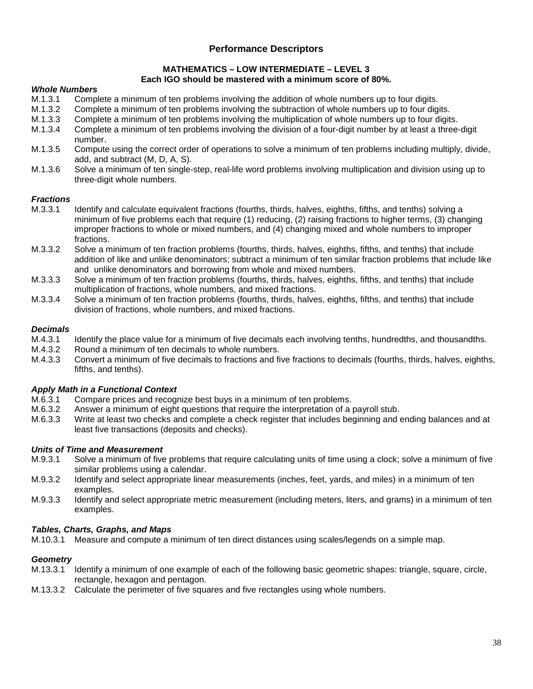#### **MATHEMATICS – LOW INTERMEDIATE – LEVEL 3 Each IGO should be mastered with a minimum score of 80%.**

#### *Whole Numbers*

- M.1.3.1 Complete a minimum of ten problems involving the addition of whole numbers up to four digits.
- M.1.3.2 Complete a minimum of ten problems involving the subtraction of whole numbers up to four digits.
- M.1.3.3 Complete a minimum of ten problems involving the multiplication of whole numbers up to four digits.
- M.1.3.4 Complete a minimum of ten problems involving the division of a four-digit number by at least a three-digit number.
- M.1.3.5 Compute using the correct order of operations to solve a minimum of ten problems including multiply, divide, add, and subtract (M, D, A, S).
- M.1.3.6 Solve a minimum of ten single-step, real-life word problems involving multiplication and division using up to three-digit whole numbers.

# *Fractions*

- M.3.3.1 Identify and calculate equivalent fractions (fourths, thirds, halves, eighths, fifths, and tenths) solving a minimum of five problems each that require (1) reducing, (2) raising fractions to higher terms, (3) changing improper fractions to whole or mixed numbers, and (4) changing mixed and whole numbers to improper fractions.
- M.3.3.2 Solve a minimum of ten fraction problems (fourths, thirds, halves, eighths, fifths, and tenths) that include addition of like and unlike denominators; subtract a minimum of ten similar fraction problems that include like and unlike denominators and borrowing from whole and mixed numbers.
- M.3.3.3 Solve a minimum of ten fraction problems (fourths, thirds, halves, eighths, fifths, and tenths) that include multiplication of fractions, whole numbers, and mixed fractions.
- M.3.3.4 Solve a minimum of ten fraction problems (fourths, thirds, halves, eighths, fifths, and tenths) that include division of fractions, whole numbers, and mixed fractions.

# *Decimals*

- Identify the place value for a minimum of five decimals each involving tenths, hundredths, and thousandths.
- M.4.3.2 Round a minimum of ten decimals to whole numbers.
- M.4.3.3 Convert a minimum of five decimals to fractions and five fractions to decimals (fourths, thirds, halves, eighths, fifths, and tenths).

#### *Apply Math in a Functional Context*

- M.6.3.1 Compare prices and recognize best buys in a minimum of ten problems.
- M.6.3.2 Answer a minimum of eight questions that require the interpretation of a payroll stub.
- M.6.3.3 Write at least two checks and complete a check register that includes beginning and ending balances and at least five transactions (deposits and checks).

# *Units of Time and Measurement*

- M.9.3.1 Solve a minimum of five problems that require calculating units of time using a clock; solve a minimum of five similar problems using a calendar.
- M.9.3.2 Identify and select appropriate linear measurements (inches, feet, yards, and miles) in a minimum of ten examples.
- M.9.3.3 Identify and select appropriate metric measurement (including meters, liters, and grams) in a minimum of ten examples.

#### *Tables, Charts, Graphs, and Maps*

M.10.3.1 Measure and compute a minimum of ten direct distances using scales/legends on a simple map.

# *Geometry*

- M.13.3.1 Identify a minimum of one example of each of the following basic geometric shapes: triangle, square, circle, rectangle, hexagon and pentagon.
- M.13.3.2 Calculate the perimeter of five squares and five rectangles using whole numbers.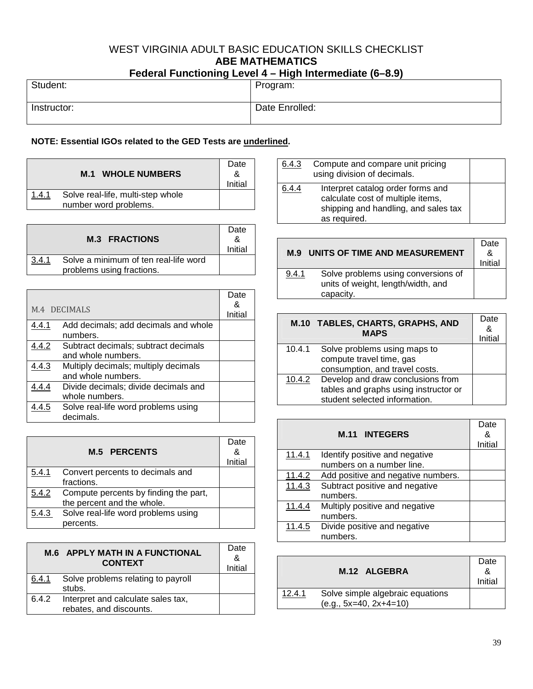# WEST VIRGINIA ADULT BASIC EDUCATION SKILLS CHECKLIST **ABE MATHEMATICS Federal Functioning Level 4 – High Intermediate (6–8.9)**

| <b>T</b> cacial Fanculating Ectors <b>Theory Internet and the capital</b> |                |
|---------------------------------------------------------------------------|----------------|
| Student:                                                                  | Program:       |
| Instructor:                                                               | Date Enrolled: |

# **NOTE: Essential IGOs related to the GED Tests are underlined.**

|       | <b>M.1 WHOLE NUMBERS</b>                                   | Date<br>Initial |
|-------|------------------------------------------------------------|-----------------|
| 1.4.1 | Solve real-life, multi-step whole<br>number word problems. |                 |

|       | <b>M.3 FRACTIONS</b>                                               | Date<br>Initial |
|-------|--------------------------------------------------------------------|-----------------|
| 3.4.1 | Solve a minimum of ten real-life word<br>problems using fractions. |                 |

| M.4 DECIMALS |                                                  | Date<br>&<br>Initial |
|--------------|--------------------------------------------------|----------------------|
| 4.4.1        | Add decimals; add decimals and whole             |                      |
|              | numbers.                                         |                      |
| 4.4.2        | Subtract decimals; subtract decimals             |                      |
|              | and whole numbers.                               |                      |
| 4.4.3        | Multiply decimals; multiply decimals             |                      |
|              | and whole numbers.                               |                      |
| 4.4.4        | Divide decimals; divide decimals and             |                      |
|              | whole numbers.                                   |                      |
| 4.4.5        | Solve real-life word problems using<br>decimals. |                      |

|       | <b>M.5 PERCENTS</b>                                                 | Date<br>&<br>Initial |
|-------|---------------------------------------------------------------------|----------------------|
| 5.4.1 | Convert percents to decimals and<br>fractions.                      |                      |
| 5.4.2 | Compute percents by finding the part,<br>the percent and the whole. |                      |
| 5.4.3 | Solve real-life word problems using<br>percents.                    |                      |

| <b>M.6 APPLY MATH IN A FUNCTIONAL</b><br><b>CONTEXT</b> |                                                               | Date<br>&<br>Initial |
|---------------------------------------------------------|---------------------------------------------------------------|----------------------|
| 6.4.1                                                   | Solve problems relating to payroll<br>stubs.                  |                      |
| 6.4.2                                                   | Interpret and calculate sales tax,<br>rebates, and discounts. |                      |

| 6.4.3 | Compute and compare unit pricing<br>using division of decimals.                                                                |  |
|-------|--------------------------------------------------------------------------------------------------------------------------------|--|
| 6.4.4 | Interpret catalog order forms and<br>calculate cost of multiple items,<br>shipping and handling, and sales tax<br>as required. |  |

| UNITS OF TIME AND MEASUREMENT<br>M.9 |                                                                                        | Date<br>&<br>Initial |
|--------------------------------------|----------------------------------------------------------------------------------------|----------------------|
| 9.4.1                                | Solve problems using conversions of<br>units of weight, length/width, and<br>capacity. |                      |

|        | M.10 TABLES, CHARTS, GRAPHS, AND<br><b>MAPS</b>                                                             | Date<br>&<br>Initial |
|--------|-------------------------------------------------------------------------------------------------------------|----------------------|
| 10.4.1 | Solve problems using maps to<br>compute travel time, gas<br>consumption, and travel costs.                  |                      |
| 10.4.2 | Develop and draw conclusions from<br>tables and graphs using instructor or<br>student selected information. |                      |

|               | <b>M.11 INTEGERS</b>               | Date<br>&<br>Initial |
|---------------|------------------------------------|----------------------|
| <u>11.4.1</u> | Identify positive and negative     |                      |
|               | numbers on a number line.          |                      |
| 11.4.2        | Add positive and negative numbers. |                      |
| 11.4.3        | Subtract positive and negative     |                      |
|               | numbers.                           |                      |
| 11.4.4        | Multiply positive and negative     |                      |
|               | numbers.                           |                      |
| 11.4.5        | Divide positive and negative       |                      |
|               | numbers.                           |                      |

|        | M.12 ALGEBRA                                                 | Date<br>&<br>Initial |
|--------|--------------------------------------------------------------|----------------------|
| 12.4.1 | Solve simple algebraic equations<br>$(e.g., 5x=40, 2x+4=10)$ |                      |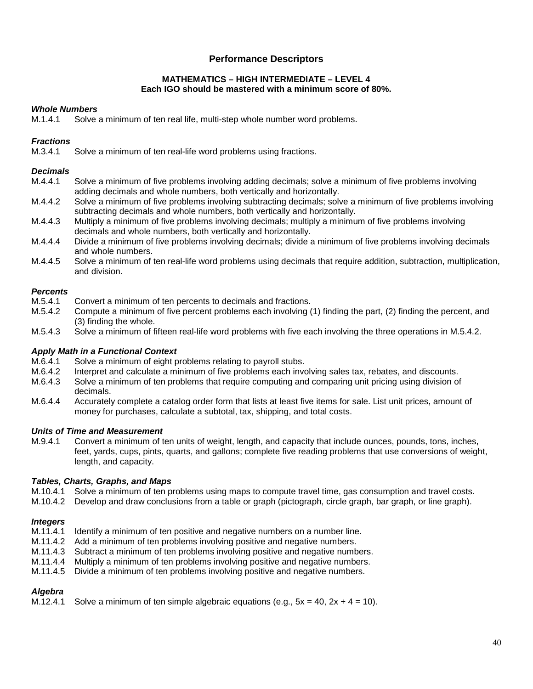#### **MATHEMATICS – HIGH INTERMEDIATE – LEVEL 4 Each IGO should be mastered with a minimum score of 80%.**

# *Whole Numbers*

M.1.4.1 Solve a minimum of ten real life, multi-step whole number word problems.

# *Fractions*

M.3.4.1 Solve a minimum of ten real-life word problems using fractions.

#### *Decimals*

- M.4.4.1 Solve a minimum of five problems involving adding decimals; solve a minimum of five problems involving adding decimals and whole numbers, both vertically and horizontally.
- M.4.4.2 Solve a minimum of five problems involving subtracting decimals; solve a minimum of five problems involving subtracting decimals and whole numbers, both vertically and horizontally.
- M.4.4.3 Multiply a minimum of five problems involving decimals; multiply a minimum of five problems involving decimals and whole numbers, both vertically and horizontally.
- M.4.4.4 Divide a minimum of five problems involving decimals; divide a minimum of five problems involving decimals and whole numbers.
- M.4.4.5 Solve a minimum of ten real-life word problems using decimals that require addition, subtraction, multiplication, and division.

# *Percents*

- M.5.4.1 Convert a minimum of ten percents to decimals and fractions.<br>M.5.4.2 Compute a minimum of five percent problems each involving (
- Compute a minimum of five percent problems each involving (1) finding the part, (2) finding the percent, and (3) finding the whole.
- M.5.4.3 Solve a minimum of fifteen real-life word problems with five each involving the three operations in M.5.4.2.

# *Apply Math in a Functional Context*

- M.6.4.1 Solve a minimum of eight problems relating to payroll stubs.<br>M.6.4.2 Interpret and calculate a minimum of five problems each inve
- Interpret and calculate a minimum of five problems each involving sales tax, rebates, and discounts.
- M.6.4.3 Solve a minimum of ten problems that require computing and comparing unit pricing using division of decimals.
- M.6.4.4 Accurately complete a catalog order form that lists at least five items for sale. List unit prices, amount of money for purchases, calculate a subtotal, tax, shipping, and total costs.

#### *Units of Time and Measurement*

M.9.4.1 Convert a minimum of ten units of weight, length, and capacity that include ounces, pounds, tons, inches, feet, yards, cups, pints, quarts, and gallons; complete five reading problems that use conversions of weight, length, and capacity.

# *Tables, Charts, Graphs, and Maps*

- M.10.4.1 Solve a minimum of ten problems using maps to compute travel time, gas consumption and travel costs.
- M.10.4.2 Develop and draw conclusions from a table or graph (pictograph, circle graph, bar graph, or line graph).

# *Integers*

- M.11.4.1 Identify a minimum of ten positive and negative numbers on a number line.
- M.11.4.2 Add a minimum of ten problems involving positive and negative numbers.
- M.11.4.3 Subtract a minimum of ten problems involving positive and negative numbers.<br>M.11.4.4 Multiply a minimum of ten problems involving positive and negative numbers.
- Multiply a minimum of ten problems involving positive and negative numbers.
- M.11.4.5 Divide a minimum of ten problems involving positive and negative numbers.

# *Algebra*

M.12.4.1 Solve a minimum of ten simple algebraic equations (e.g.,  $5x = 40$ ,  $2x + 4 = 10$ ).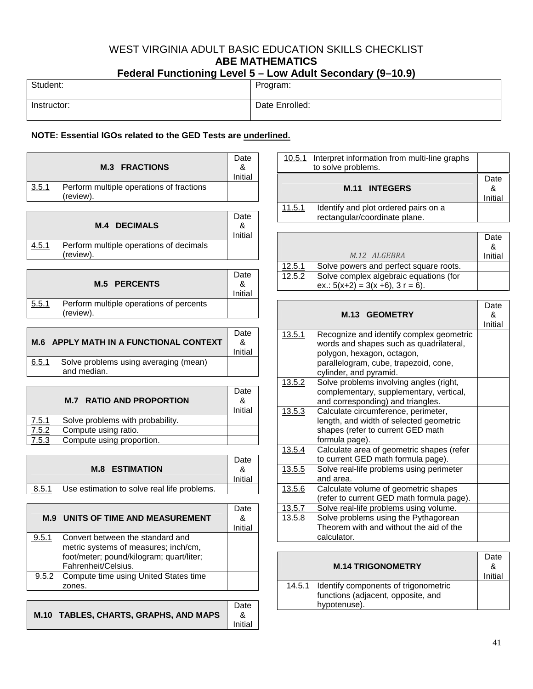# WEST VIRGINIA ADULT BASIC EDUCATION SKILLS CHECKLIST **ABE MATHEMATICS Federal Functioning Level 5 – Low Adult Secondary (9–10.9)**

| $\mathbf{r}$ cucrari uncliving Lever J $-$ Low Aguit Jecondary (3–10.3) |                |  |  |
|-------------------------------------------------------------------------|----------------|--|--|
| Student:                                                                | Program:       |  |  |
| Instructor:                                                             | Date Enrolled: |  |  |

# **NOTE: Essential IGOs related to the GED Tests are underlined.**

| <b>M.3 FRACTIONS</b>                                           | Date<br>Initial |
|----------------------------------------------------------------|-----------------|
| Perform multiple operations of fractions<br>3.5.1<br>(review). |                 |

|       | <b>M.4 DECIMALS</b>                                  | Date<br>Initial |
|-------|------------------------------------------------------|-----------------|
| 4.5.1 | Perform multiple operations of decimals<br>(review). |                 |

|       | <b>M.5 PERCENTS</b>                                  | Date<br>Initial |
|-------|------------------------------------------------------|-----------------|
| 5.5.1 | Perform multiple operations of percents<br>(review). |                 |

| M.6 APPLY MATH IN A FUNCTIONAL CONTEXT                        | Date<br>&<br>Initial |
|---------------------------------------------------------------|----------------------|
| Solve problems using averaging (mean)<br>6.5.1<br>and median. |                      |

|       | <b>M.7 RATIO AND PROPORTION</b>  | Date<br>&<br>Initial |
|-------|----------------------------------|----------------------|
| 7.5.1 | Solve problems with probability. |                      |
| 7.5.2 | Compute using ratio.             |                      |
| 7.5.3 | Compute using proportion.        |                      |

|       | <b>M.8 ESTIMATION</b>                       | Date<br>Initial |
|-------|---------------------------------------------|-----------------|
| 8.5.1 | Use estimation to solve real life problems. |                 |
|       |                                             |                 |

 $\overline{\phantom{a}}$ 

|       | <b>M.9 UNITS OF TIME AND MEASUREMENT</b>                                                                                                    | Date<br>&<br>Initial |
|-------|---------------------------------------------------------------------------------------------------------------------------------------------|----------------------|
| 9.5.1 | Convert between the standard and<br>metric systems of measures; inch/cm,<br>foot/meter; pound/kilogram; quart/liter;<br>Fahrenheit/Celsius. |                      |
|       | 9.5.2 Compute time using United States time<br>zones.                                                                                       |                      |
|       |                                                                                                                                             |                      |
|       |                                                                                                                                             | atr                  |



|        | 10.5.1 Interpret information from multi-line graphs<br>to solve problems. |                      |
|--------|---------------------------------------------------------------------------|----------------------|
|        | <b>M.11 INTEGERS</b>                                                      | Date<br>&<br>Initial |
| 11.5.1 | Identify and plot ordered pairs on a<br>rectangular/coordinate plane.     |                      |

|        |                                                                                   | Date    |
|--------|-----------------------------------------------------------------------------------|---------|
|        | M.12 ALGEBRA                                                                      | Initial |
| 12.5.1 | Solve powers and perfect square roots.                                            |         |
| 12.5.2 | Solve complex algebraic equations (for<br>ex.: $5(x+2) = 3(x + 6)$ , $3 r = 6$ ). |         |

|        | <b>M.13 GEOMETRY</b>                                            | Date<br>&<br>Initial |
|--------|-----------------------------------------------------------------|----------------------|
| 13.5.1 | Recognize and identify complex geometric                        |                      |
|        | words and shapes such as quadrilateral,                         |                      |
|        | polygon, hexagon, octagon,                                      |                      |
|        | parallelogram, cube, trapezoid, cone,<br>cylinder, and pyramid. |                      |
| 13.5.2 | Solve problems involving angles (right,                         |                      |
|        | complementary, supplementary, vertical,                         |                      |
|        | and corresponding) and triangles.                               |                      |
| 13.5.3 | Calculate circumference, perimeter,                             |                      |
|        | length, and width of selected geometric                         |                      |
|        | shapes (refer to current GED math                               |                      |
|        | formula page).                                                  |                      |
| 13.5.4 | Calculate area of geometric shapes (refer                       |                      |
|        | to current GED math formula page).                              |                      |
| 13.5.5 | Solve real-life problems using perimeter                        |                      |
|        | and area.                                                       |                      |
| 13.5.6 | Calculate volume of geometric shapes                            |                      |
|        | (refer to current GED math formula page).                       |                      |
| 13.5.7 | Solve real-life problems using volume.                          |                      |
| 13.5.8 | Solve problems using the Pythagorean                            |                      |
|        | Theorem with and without the aid of the                         |                      |
|        | calculator.                                                     |                      |

| <b>M.14 TRIGONOMETRY</b>                                                                          | Date<br>&<br>Initial |
|---------------------------------------------------------------------------------------------------|----------------------|
| 14.5.1 Identify components of trigonometric<br>functions (adjacent, opposite, and<br>hypotenuse). |                      |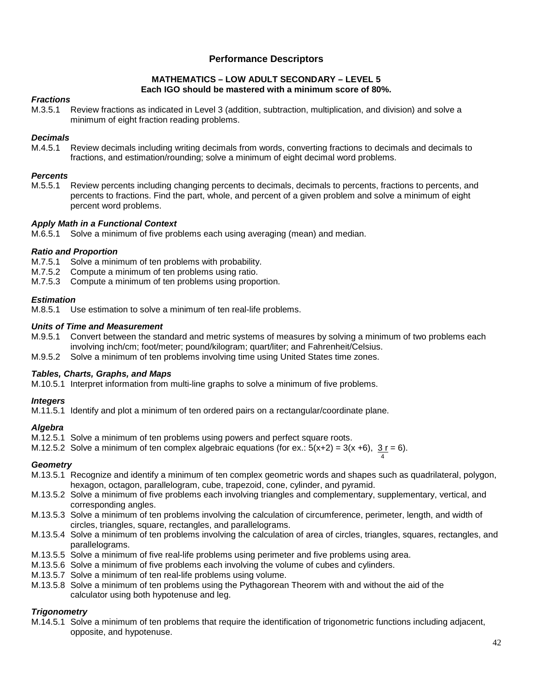#### **MATHEMATICS – LOW ADULT SECONDARY – LEVEL 5 Each IGO should be mastered with a minimum score of 80%.**

# *Fractions*

M.3.5.1 Review fractions as indicated in Level 3 (addition, subtraction, multiplication, and division) and solve a minimum of eight fraction reading problems.

# *Decimals*

M.4.5.1 Review decimals including writing decimals from words, converting fractions to decimals and decimals to fractions, and estimation/rounding; solve a minimum of eight decimal word problems.

# *Percents*

M.5.5.1 Review percents including changing percents to decimals, decimals to percents, fractions to percents, and percents to fractions. Find the part, whole, and percent of a given problem and solve a minimum of eight percent word problems.

# *Apply Math in a Functional Context*

M.6.5.1 Solve a minimum of five problems each using averaging (mean) and median.

# *Ratio and Proportion*

- M.7.5.1 Solve a minimum of ten problems with probability.
- M.7.5.2 Compute a minimum of ten problems using ratio.
- M.7.5.3 Compute a minimum of ten problems using proportion.

# *Estimation*

M.8.5.1 Use estimation to solve a minimum of ten real-life problems.

#### *Units of Time and Measurement*

- M.9.5.1 Convert between the standard and metric systems of measures by solving a minimum of two problems each involving inch/cm; foot/meter; pound/kilogram; quart/liter; and Fahrenheit/Celsius.
- M.9.5.2 Solve a minimum of ten problems involving time using United States time zones.

# *Tables, Charts, Graphs, and Maps*

M.10.5.1 Interpret information from multi-line graphs to solve a minimum of five problems.

# *Integers*

M.11.5.1 Identify and plot a minimum of ten ordered pairs on a rectangular/coordinate plane.

# *Algebra*

- M.12.5.1 Solve a minimum of ten problems using powers and perfect square roots.
- M.12.5.2 Solve a minimum of ten complex algebraic equations (for ex.:  $5(x+2) = 3(x +6)$ ,  $3r = 6$ ).

# *Geometry*

M.13.5.1 Recognize and identify a minimum of ten complex geometric words and shapes such as quadrilateral, polygon, hexagon, octagon, parallelogram, cube, trapezoid, cone, cylinder, and pyramid.

4

- M.13.5.2 Solve a minimum of five problems each involving triangles and complementary, supplementary, vertical, and corresponding angles.
- M.13.5.3 Solve a minimum of ten problems involving the calculation of circumference, perimeter, length, and width of circles, triangles, square, rectangles, and parallelograms.
- M.13.5.4 Solve a minimum of ten problems involving the calculation of area of circles, triangles, squares, rectangles, and parallelograms.
- M.13.5.5 Solve a minimum of five real-life problems using perimeter and five problems using area.
- M.13.5.6 Solve a minimum of five problems each involving the volume of cubes and cylinders.
- M.13.5.7 Solve a minimum of ten real-life problems using volume.
- M.13.5.8 Solve a minimum of ten problems using the Pythagorean Theorem with and without the aid of the calculator using both hypotenuse and leg.

# *Trigonometry*

M.14.5.1 Solve a minimum of ten problems that require the identification of trigonometric functions including adjacent, opposite, and hypotenuse.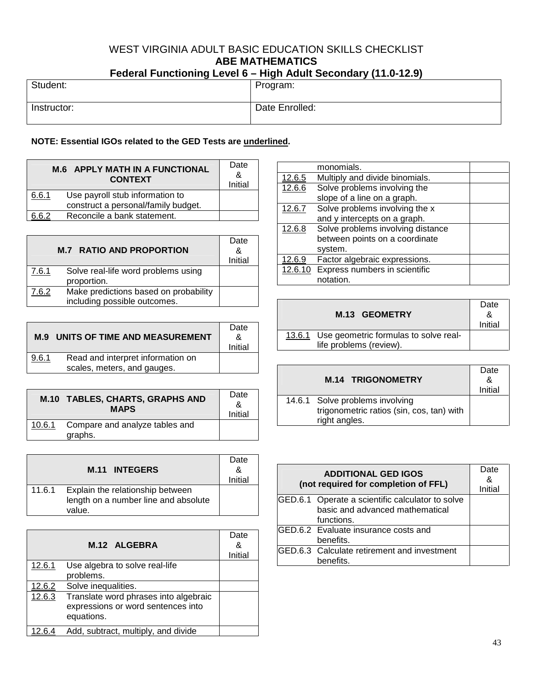# WEST VIRGINIA ADULT BASIC EDUCATION SKILLS CHECKLIST **ABE MATHEMATICS Federal Functioning Level 6 – High Adult Secondary (11.0-12.9)**

| r Gudiar Functioning Lever o $-$ Fight Addit Jecondary ( Fi.0-T2.3) |  |                |
|---------------------------------------------------------------------|--|----------------|
| Student:                                                            |  | Program:       |
| Instructor:                                                         |  | Date Enrolled: |

# **NOTE: Essential IGOs related to the GED Tests are underlined.**

| <b>M.6 APPLY MATH IN A FUNCTIONAL</b><br><b>CONTEXT</b> |                                                                        | Date<br>&<br>Initial |
|---------------------------------------------------------|------------------------------------------------------------------------|----------------------|
| 6.6.1                                                   | Use payroll stub information to<br>construct a personal/family budget. |                      |
| .R. 2                                                   | Reconcile a bank statement.                                            |                      |

|       | <b>M.7 RATIO AND PROPORTION</b>                                       | Date<br>&<br>Initial |
|-------|-----------------------------------------------------------------------|----------------------|
| 7.6.1 | Solve real-life word problems using<br>proportion.                    |                      |
| 7.6.2 | Make predictions based on probability<br>including possible outcomes. |                      |

| M.9   | UNITS OF TIME AND MEASUREMENT                                    | Date<br>&<br>Initial |
|-------|------------------------------------------------------------------|----------------------|
| 9.6.1 | Read and interpret information on<br>scales, meters, and gauges. |                      |

|        | M.10 TABLES, CHARTS, GRAPHS AND<br><b>MAPS</b> | Date<br>&<br>Initial |
|--------|------------------------------------------------|----------------------|
| 10.6.1 | Compare and analyze tables and<br>graphs.      |                      |

|        | <b>M.11 INTEGERS</b>                                                               | Date<br>& |
|--------|------------------------------------------------------------------------------------|-----------|
|        |                                                                                    | Initial   |
| 11.6.1 | Explain the relationship between<br>length on a number line and absolute<br>value. |           |

|        | M.12 ALGEBRA                                                                              | Date<br>&<br>Initial |
|--------|-------------------------------------------------------------------------------------------|----------------------|
| 12.6.1 | Use algebra to solve real-life<br>problems.                                               |                      |
| 12.6.2 | Solve inequalities.                                                                       |                      |
| 12.6.3 | Translate word phrases into algebraic<br>expressions or word sentences into<br>equations. |                      |
| 12.6.4 | Add, subtract, multiply, and divide                                                       |                      |

|         | monomials.                        |  |
|---------|-----------------------------------|--|
| 12.6.5  | Multiply and divide binomials.    |  |
| 12.6.6  | Solve problems involving the      |  |
|         | slope of a line on a graph.       |  |
| 12.6.7  | Solve problems involving the x    |  |
|         | and y intercepts on a graph.      |  |
| 12.6.8  | Solve problems involving distance |  |
|         | between points on a coordinate    |  |
|         | system.                           |  |
| 12.6.9  | Factor algebraic expressions.     |  |
| 12.6.10 | Express numbers in scientific     |  |
|         | notation.                         |  |

| M.13 GEOMETRY                                                           | Date<br>&<br>Initial |
|-------------------------------------------------------------------------|----------------------|
| 13.6.1 Use geometric formulas to solve real-<br>life problems (review). |                      |

| <b>M.14 TRIGONOMETRY</b>                                                                      | Date<br>& |
|-----------------------------------------------------------------------------------------------|-----------|
|                                                                                               | Initial   |
| 14.6.1 Solve problems involving<br>trigonometric ratios (sin, cos, tan) with<br>right angles. |           |

| <b>ADDITIONAL GED IGOS</b><br>(not required for completion of FFL) |                                                                                                   | Date<br>&<br>Initial |
|--------------------------------------------------------------------|---------------------------------------------------------------------------------------------------|----------------------|
|                                                                    | GED.6.1 Operate a scientific calculator to solve<br>basic and advanced mathematical<br>functions. |                      |
|                                                                    | GED.6.2 Evaluate insurance costs and<br>benefits.                                                 |                      |
|                                                                    | GED.6.3 Calculate retirement and investment<br>benefits.                                          |                      |